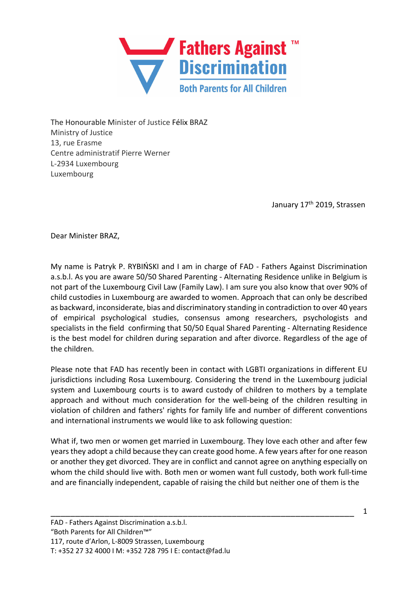

The Honourable Minister of Justice Félix BRAZ Ministry of Justice 13, rue Erasme Centre administratif Pierre Werner L-2934 Luxembourg Luxembourg

January 17<sup>th</sup> 2019, Strassen

Dear Minister BRAZ,

My name is Patryk P. RYBIŃSKI and I am in charge of FAD - Fathers Against Discrimination a.s.b.l. As you are aware 50/50 Shared Parenting - Alternating Residence unlike in Belgium is not part of the Luxembourg Civil Law (Family Law). I am sure you also know that over 90% of child custodies in Luxembourg are awarded to women. Approach that can only be described as backward, inconsiderate, bias and discriminatory standing in contradiction to over 40 years of empirical psychological studies, consensus among researchers, psychologists and specialists in the field confirming that 50/50 Equal Shared Parenting - Alternating Residence is the best model for children during separation and after divorce. Regardless of the age of the children.

Please note that FAD has recently been in contact with LGBTI organizations in different EU jurisdictions including Rosa Luxembourg. Considering the trend in the Luxembourg judicial system and Luxembourg courts is to award custody of children to mothers by a template approach and without much consideration for the well-being of the children resulting in violation of children and fathers' rights for family life and number of different conventions and international instruments we would like to ask following question:

What if, two men or women get married in Luxembourg. They love each other and after few years they adopt a child because they can create good home. A few years after for one reason or another they get divorced. They are in conflict and cannot agree on anything especially on whom the child should live with. Both men or women want full custody, both work full-time and are financially independent, capable of raising the child but neither one of them is the

\_\_\_\_\_\_\_\_\_\_\_\_\_\_\_\_\_\_\_\_\_\_\_\_\_\_\_\_\_\_\_\_\_\_\_\_\_\_\_\_\_\_\_\_\_\_\_\_\_\_\_\_\_\_\_\_\_\_\_\_\_\_